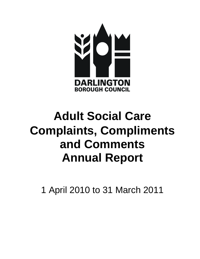

# **Adult Social Care Complaints, Compliments and Comments Annual Report**

1 April 2010 to 31 March 2011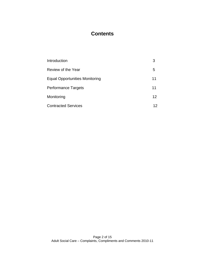## **Contents**

| Introduction                          | 3                 |
|---------------------------------------|-------------------|
| Review of the Year                    | 5                 |
| <b>Equal Opportunities Monitoring</b> | 11                |
| <b>Performance Targets</b>            | 11                |
| Monitoring                            | $12 \overline{ }$ |
| <b>Contracted Services</b>            | 12                |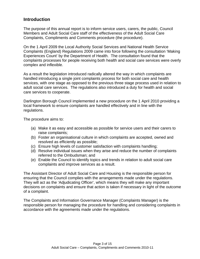## **Introduction**

The purpose of this annual report is to inform service users, carers, the public, Council Members and Adult Social Care staff of the effectiveness of the Adult Social Care Complaints, Compliments and Comments procedure (the procedure).

On the 1 April 2009 the Local Authority Social Services and National Health Service Complaints (England) Regulations 2009 came into force following the consultation 'Making Experiences Count' by the Department of Health. The consultation found that the complaints processes for people receiving both health and social care services were overly complex and inflexible.

As a result the legislation introduced radically altered the way in which complaints are handled introducing a single joint complaints process for both social care and health services, with one stage as opposed to the previous three stage process used in relation to adult social care services. The regulations also introduced a duty for health and social care services to cooperate.

Darlington Borough Council implemented a new procedure on the 1 April 2010 providing a local framework to ensure complaints are handled effectively and in line with the regulations.

The procedure aims to:

- (a) Make it as easy and accessible as possible for service users and their carers to raise complaints;
- (b) Foster an organisational culture in which complaints are accepted, owned and resolved as efficiently as possible;
- (c) Ensure high levels of customer satisfaction with complaints handling;
- (d) Resolve individual issues when they arise and reduce the number of complaints referred to the Ombudsman; and
- (e) Enable the Council to identify topics and trends in relation to adult social care complaints and improve services as a result.

The Assistant Director of Adult Social Care and Housing is the responsible person for ensuring that the Council complies with the arrangements made under the regulations. They will act as the 'Adjudicating Officer', which means they will make any important decisions on complaints and ensure that action is taken if necessary in light of the outcome of a complaint.

The Complaints and Information Governance Manager (Complaints Manager) is the responsible person for managing the procedure for handling and considering complaints in accordance with the agreements made under the regulations.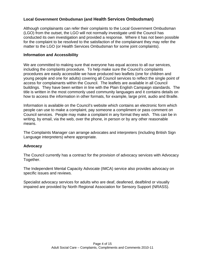#### **Local Government Ombudsman (and Health Services Ombudsman)**

Although complainants can refer their complaints to the Local Government Ombudsman (LGO) from the outset, the LGO will not normally investigate until the Council has conducted its own investigation and provided a response. Where it has not been possible for the complaint to be resolved to the satisfaction of the complainant they may refer the matter to the LGO (or Health Services Ombudsman for some joint complaints).

#### **Information and Accessibility**

We are committed to making sure that everyone has equal access to all our services, including the complaints procedure. To help make sure the Council's complaints procedures are easily accessible we have produced two leaflets (one for children and young people and one for adults) covering all Council services to reflect the single point of access for complainants within the Council. The leaflets are available in all Council buildings. They have been written in line with the Plain English Campaign standards. The title is written in the most commonly used community languages and it contains details on how to access the information in other formats, for example, large print, audio and Braille.

Information is available on the Council's website which contains an electronic form which people can use to make a complaint, pay someone a compliment or pass comment on Council services. People may make a complaint in any format they wish. This can be in writing, by email, via the web, over the phone, in person or by any other reasonable means.

The Complaints Manager can arrange advocates and interpreters (including British Sign Language interpreters) where appropriate.

#### **Advocacy**

The Council currently has a contract for the provision of advocacy services with Advocacy Together.

The Independent Mental Capacity Advocate (IMCA) service also provides advocacy on specific issues and reviews.

Specialist advocacy services for adults who are deaf, deafened, deafblind or visually impaired are provided by North Regional Association for Sensory Support (NRASS).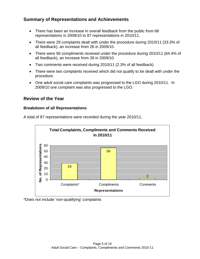## **Summary of Representations and Achievements**

- There has been an increase in overall feedback from the public from 66 representations in 2009/10 to 87 representations in 2010/11.
- There were 29 complaints dealt with under the procedure during 2010/11 (33.3% of all feedback), an increase from 26 in 2009/10.
- There were 56 compliments received under the procedure during 2010/11 (64.4% of all feedback), an increase from 39 in 2009/10.
- Two comments were received during 2010/11 (2.3% of all feedback).
- There were two complaints received which did not qualify to be dealt with under the procedure.
- One adult social care complaints was progressed to the LGO during 2010/11. In 2009/10 one complaint was also progressed to the LGO.

## **Review of the Year**

#### **Breakdown of all Representations**

A total of 87 representations were recorded during the year 2010/11.



\*Does not include 'non-qualifying' complaints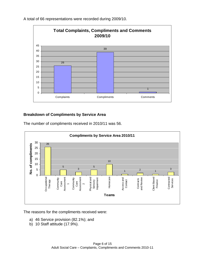A total of 66 representations were recorded during 2009/10.



#### **Breakdown of Compliments by Service Area**

The number of compliments received in 2010/11 was 56.



The reasons for the compliments received were:

- a) 46 Service provision (82.1%); and
- b) 10 Staff attitude (17.9%).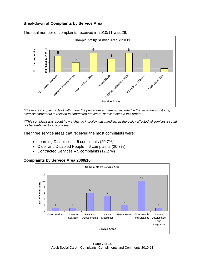#### **Breakdown of Complaints by Service Area**



The total number of complaints received in 2010/11 was 29.

*\*These are complaints dealt with under the procedure and are not included in the separate monitoring exercise carried out in relation to contracted providers, detailed later in this report.* 

*\*\*This complaint was about how a change in policy was handled, as the policy affected all services it could not be attributed to any one team.* 

The three service areas that received the most complaints were:

- Learning Disabilities 6 complaints  $(20.7%)$
- Older and Disabled People  $-6$  complaints (20.7%)
- Contracted Services  $-5$  complaints (17.2 %)



#### **Complaints by Service Area 2009/10**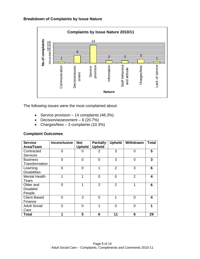#### **Breakdown of Complaints by Issue Nature**



The following issues were the most complained about:

- Service provision  $-14$  complaints (48.3%)
- Decision/assessment  $-6$  (20.7%)
- Charges/fees  $-3$  complaints (10.3%)

| <b>Service</b>       | <b>Inconclusive</b> | <b>Not</b>    | <b>Partially</b> | <b>Upheld</b>  | Withdrawn      | Total |
|----------------------|---------------------|---------------|------------------|----------------|----------------|-------|
| Area/Team            |                     | <b>Upheld</b> | <b>Upheld</b>    |                |                |       |
| Contracted           | 0                   | 0             | $\overline{2}$   | 3              | $\overline{0}$ | 5     |
| <b>Services</b>      |                     |               |                  |                |                |       |
| <b>Business</b>      | 0                   | 0             | $\overline{0}$   | 3              | $\overline{0}$ | 3     |
| Transformation       |                     |               |                  |                |                |       |
| Learning             | 0                   | 0             | 1                | $\overline{2}$ | 3              | 6     |
| <b>Disabilities</b>  |                     |               |                  |                |                |       |
| <b>Mental Health</b> |                     |               | $\overline{0}$   | 0              | $\overline{2}$ | 4     |
| Team                 |                     |               |                  |                |                |       |
| Older and            | 0                   |               | $\overline{2}$   | $\overline{2}$ | 1              | 6     |
| <b>Disabled</b>      |                     |               |                  |                |                |       |
| People               |                     |               |                  |                |                |       |
| <b>Client Based</b>  | 0                   | 3             | $\overline{0}$   | 1              | $\overline{0}$ | 4     |
| Finance              |                     |               |                  |                |                |       |
| <b>Adult Social</b>  | 0                   | $\Omega$      | 1                | $\Omega$       | $\Omega$       | 1     |
| Care                 |                     |               |                  |                |                |       |
| Total                | 1                   | 5             | 6                | 11             | 6              | 29    |

#### **Complaint Outcomes**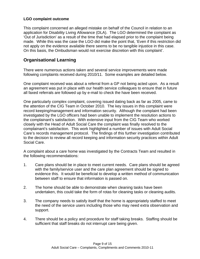#### **LGO complaint outcome**

This complaint concerned an alleged mistake on behalf of the Council in relation to an application for Disability Living Allowance (DLA). The LGO determined the complaint as 'Out of Jurisdiction' as a result of the time that had elapsed prior to the complaint being made. While this was the case the LGO did make the point that, 'Even if this restriction did not apply on the evidence available there seems to be no tangible injustice in this case. On this basis, the Ombudsman would not exercise discretion with this complaint'.

### **Organisational Learning**

There were numerous actions taken and several service improvements were made following complaints received during 2010/11. Some examples are detailed below.

One complaint received was about a referral from a GP not being acted upon. As a result an agreement was put in place with our health service colleagues to ensure that in future all faxed referrals are followed up by e-mail to check the have been received.

One particularly complex complaint, covering issued dating back as far as 2005, came to the attention of the CIG Team in October 2010. The key issues in this complaint were record keeping/management and information security. Although the complaint had been investigated by the LGO officers had been unable to implement the resolution actions to the complainant's satisfaction. With extensive input from the CIG Team who worked closely with the Head of Adult Social Care the complaint was finally resolved to the complainant's satisfaction. This work highlighted a number of issues with Adult Social Care's records management protocol. The findings of this further investigation contributed to the decision to review all record keeping and information security practices within Adult Social Care.

A complaint about a care home was investigated by the Contracts Team and resulted in the following recommendations:

- 1. Care plans should be in place to meet current needs. Care plans should be agreed with the family/service user and the care plan agreement should be signed to evidence this. It would be beneficial to develop a written method of communication between staff to ensure that information is passed on.
- 2. The home should be able to demonstrate when cleaning tasks have been undertaken, this could take the form of rotas for cleaning tasks or cleaning audits.
- 3. The company needs to satisfy itself that the home is appropriately staffed to meet the need of the service users including those who may need extra observation and support.
- 4. There should be a policy and procedure for staff taking breaks. Staffing should be sufficient that staff breaks do not interrupt care being given.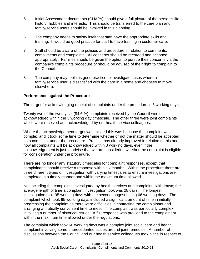- 5. Initial Assessment documents (CHAPs) should give a full picture of the person's life history, hobbies and interests. This should be transferred to the care plan and family/service users should be involved in this planning.
- 6. The company needs to satisfy itself that staff have the appropriate skills and training. It would be good practice for staff to have training in customer care.
- 7. Staff should be aware of the policies and procedure in relation to comments, compliments and complaints. All concerns should be recorded and actioned appropriately. Families should be given the option to pursue their concerns via the company's complaints procedure or should be advised of their right to complain to the Council.
- 8. The company may feel it is good practice to investigate cases where a family/service user is dissatisfied with the care in a home and chooses to move elsewhere.

#### **Performance against the Procedure**

The target for acknowledging receipt of complaints under the procedure is 3 working days.

Twenty two of the twenty six (84.6 %) complaints received by the Council were acknowledged within the 3 working day timescale. The other three were joint complaints which were received and acknowledged by our health service colleagues.

Where the acknowledgement target was missed this was because the complaint was complex and it took some time to determine whether or not the matter should be accepted as a complaint under the procedure. Practice has already improved in relation to this and now all complaints will be acknowledged within 3 working days, even if the acknowledgement is just to advise that we are considering whether the complaint is eligible for consideration under the procedure.

There are no longer any statutory timescales for complaint responses, except that complainants should receive a response within six months. Within the procedure there are three different types of investigation with varying timescales to ensure investigations are completed in a timely manner and within the maximum time allowed.

Not including the complaints investigated by health services and complaints withdrawn; the average length of time a complaint investigation took was 28 days. The longest investigation took 95 working days with the second longest taking 66 working days. The complaint which took 95 working days included a significant amount of time in initially progressing the complaint as there were difficulties in contacting the complainant and arranging a mutually convenient time to meet. The complaint was particularly complex involving a number of historical issues. A full response was provided to the complainant within the maximum time allowed under the regulations.

The complaint which took 66 working days was a complex joint social care and health complaint involving some unprecedented issues around joint remedies. A number of discussions between the Council and our health service colleagues took place in respect of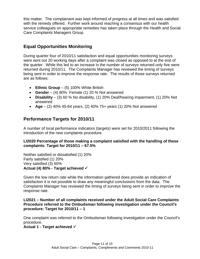this matter. The complainant was kept informed of progress at all times and was satisfied with the remedy offered. Further work around reaching a consensus with our health service colleagues on appropriate remedies has taken place through the Health and Social Care Complaints Managers Group.

## **Equal Opportunities Monitoring**

During quarter four of 2010/11 satisfaction and equal opportunities monitoring surveys were sent out 20 working days after a complaint was closed as opposed to at the end of the quarter. While this led to an increase in the number of surveys returned only five were returned during 2010/11. The Complaints Manager has reviewed the timing of surveys being sent in order to improve the response rate. The results of those surveys returned are as follows:

- **Ethnic Group** (5) 100% White British
- **Gender** (4) 80% Female (1) 20 % Not answered
- **Disability**  (3) 60 % No disability, (1) 20% Deaf/hearing impairment, (1) 20% Not answered
- **Age** (2) 40% 45-64 years, (2) 40% 75+ years (1) 20% Not answered

## **Performance Targets for 2010/11**

A number of local performance indicators (targets) were set for 2010/2011 following the introduction of the new complaints procedure.

#### **LI2020 Percentage of those making a complaint satisfied with the handling of these complaints: Target for 2010/11 – 67.5%**

Neither satisfied or dissatisfied (1) 20% Fairly satisfied (1) 20% Very satisfied (3) 60% **Actual (4) 80% - Target achieved** 

Given the low return rate while the information gathered does provide an indication of satisfaction it is not possible to draw any meaningful conclusions from the data. The Complaints Manager has reviewed the timing of surveys being sent in order to improve the response rate.

#### **LI2021 – Number of all complaints received under the Adult Social Care Complaints Procedure referred to the Ombudsman following investigation under the Council's procedure: Target for 2010/11 – 1**

One complaint was referred to the Ombudsman following investigation under the Council's procedure.

#### **Actual 1 - Target achieved**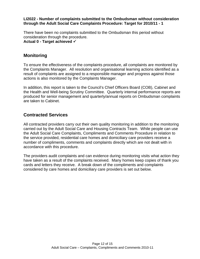#### **LI2022 - Number of complaints submitted to the Ombudsman without consideration through the Adult Social Care Complaints Procedure: Target for 2010/11 - 1**

There have been no complaints submitted to the Ombudsman this period without consideration through the procedure. **Actual 0 - Target achieved** 

## **Monitoring**

To ensure the effectiveness of the complaints procedure, all complaints are monitored by the Complaints Manager. All resolution and organisational learning actions identified as a result of complaints are assigned to a responsible manager and progress against those actions is also monitored by the Complaints Manager.

In addition, this report is taken to the Council's Chief Officers Board (COB), Cabinet and the Health and Well-being Scrutiny Committee. Quarterly internal performance reports are produced for senior management and quarterly/annual reports on Ombudsman complaints are taken to Cabinet.

## **Contracted Services**

All contracted providers carry out their own quality monitoring in addition to the monitoring carried out by the Adult Social Care and Housing Contracts Team. While people can use the Adult Social Care Complaints, Compliments and Comments Procedure in relation to the service provided, residential care homes and domiciliary care providers receive a number of compliments, comments and complaints directly which are not dealt with in accordance with this procedure.

The providers audit complaints and can evidence during monitoring visits what action they have taken as a result of the complaints received. Many homes keep copies of thank you cards and letters they receive. A break down of the compliments and complaints considered by care homes and domiciliary care providers is set out below.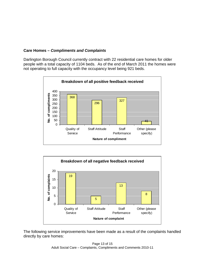#### **Care Homes –** *Compliments and Complaints*

Darlington Borough Council currently contract with 22 residential care homes for older people with a total capacity of 1104 beds. As of the end of March 2011 the homes were not operating to full capacity with the occupancy level being 921 beds.





The following service improvements have been made as a result of the complaints handled directly by care homes: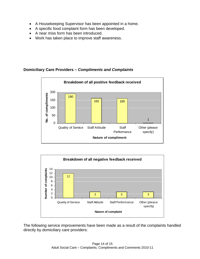- A Housekeeping Supervisor has been appointed in a home.
- A specific food complaint form has been developed.
- A near miss form has been introduced.
- Work has taken place to improve staff awareness.

#### **Domiciliary Care Providers –** *Compliments and Complaints*





The following service improvements have been made as a result of the complaints handled directly by domiciliary care providers: